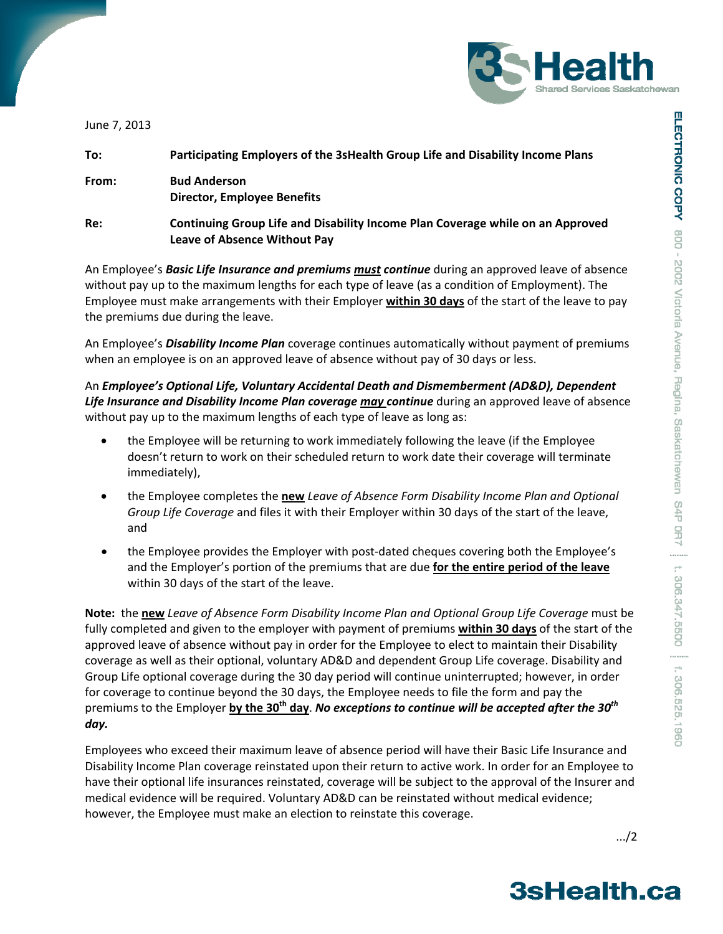



June 7, 2013

| To:   | Participating Employers of the 3sHealth Group Life and Disability Income Plans                                        |
|-------|-----------------------------------------------------------------------------------------------------------------------|
| From: | <b>Bud Anderson</b><br><b>Director, Employee Benefits</b>                                                             |
| Re:   | Continuing Group Life and Disability Income Plan Coverage while on an Approved<br><b>Leave of Absence Without Pay</b> |

An Employee's *Basic Life Insurance and premiums must continue* during an approved leave of absence without pay up to the maximum lengths for each type of leave (as a condition of Employment). The Employee must make arrangements with their Employer **within 30 days** of the start of the leave to pay the premiums due during the leave.

An Employee's *Disability Income Plan* coverage continues automatically without payment of premiums when an employee is on an approved leave of absence without pay of 30 days or less.

An *Employee's Optional Life, Voluntary Accidental Death and Dismemberment (AD&D), Dependent Life Insurance and Disability Income Plan coverage may continue* during an approved leave of absence without pay up to the maximum lengths of each type of leave as long as:

- the Employee will be returning to work immediately following the leave (if the Employee doesn't return to work on their scheduled return to work date their coverage will terminate immediately),
- the Employee completes the **new** *Leave of Absence Form Disability Income Plan and Optional Group Life Coverage* and files it with their Employer within 30 days of the start of the leave, and
- the Employee provides the Employer with post-dated cheques covering both the Employee's and the Employer's portion of the premiums that are due **for the entire period of the leave** within 30 days of the start of the leave.

**Note:** the **new** *Leave of Absence Form Disability Income Plan and Optional Group Life Coverage* must be fully completed and given to the employer with payment of premiums **within 30 days** of the start of the approved leave of absence without pay in order for the Employee to elect to maintain their Disability coverage as well as their optional, voluntary AD&D and dependent Group Life coverage. Disability and Group Life optional coverage during the 30 day period will continue uninterrupted; however, in order for coverage to continue beyond the 30 days, the Employee needs to file the form and pay the premiums to the Employer **by the 30th day**. *No exceptions to continue will be accepted after the 30th day.*

Employees who exceed their maximum leave of absence period will have their Basic Life Insurance and Disability Income Plan coverage reinstated upon their return to active work. In order for an Employee to have their optional life insurances reinstated, coverage will be subject to the approval of the Insurer and medical evidence will be required. Voluntary AD&D can be reinstated without medical evidence; however, the Employee must make an election to reinstate this coverage.

.../2

## **3sHealth.ca**